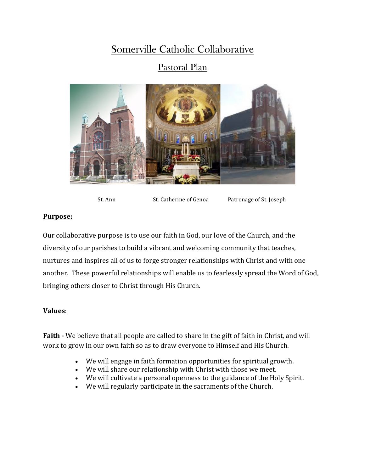## Somerville Catholic Collaborative

### Pastoral Plan



St. Ann St. Catherine of Genoa Patronage of St. Joseph

#### **Purpose:**

Our collaborative purpose is to use our faith in God, our love of the Church, and the diversity of our parishes to build a vibrant and welcoming community that teaches, nurtures and inspires all of us to forge stronger relationships with Christ and with one another. These powerful relationships will enable us to fearlessly spread the Word of God, bringing others closer to Christ through His Church.

#### **Values**:

**Faith** - We believe that all people are called to share in the gift of faith in Christ, and will work to grow in our own faith so as to draw everyone to Himself and His Church.

- We will engage in faith formation opportunities for spiritual growth.
- We will share our relationship with Christ with those we meet.
- We will cultivate a personal openness to the guidance of the Holy Spirit.
- We will regularly participate in the sacraments of the Church.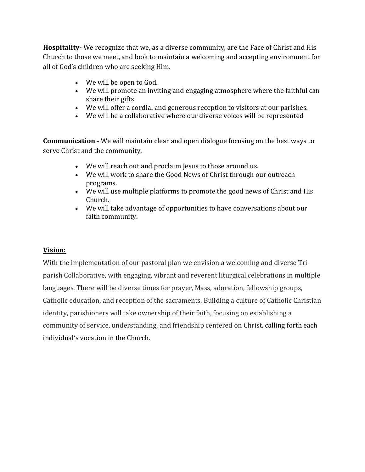**Hospitality-** We recognize that we, as a diverse community, are the Face of Christ and His Church to those we meet, and look to maintain a welcoming and accepting environment for all of God's children who are seeking Him.

- We will be open to God.
- We will promote an inviting and engaging atmosphere where the faithful can share their gifts
- We will offer a cordial and generous reception to visitors at our parishes.
- We will be a collaborative where our diverse voices will be represented

**Communication** - We will maintain clear and open dialogue focusing on the best ways to serve Christ and the community.

- We will reach out and proclaim Jesus to those around us.
- We will work to share the Good News of Christ through our outreach programs.
- We will use multiple platforms to promote the good news of Christ and His Church.
- We will take advantage of opportunities to have conversations about our faith community.

#### **Vision:**

With the implementation of our pastoral plan we envision a welcoming and diverse Triparish Collaborative, with engaging, vibrant and reverent liturgical celebrations in multiple languages. There will be diverse times for prayer, Mass, adoration, fellowship groups, Catholic education, and reception of the sacraments. Building a culture of Catholic Christian identity, parishioners will take ownership of their faith, focusing on establishing a community of service, understanding, and friendship centered on Christ, calling forth each individual's vocation in the Church.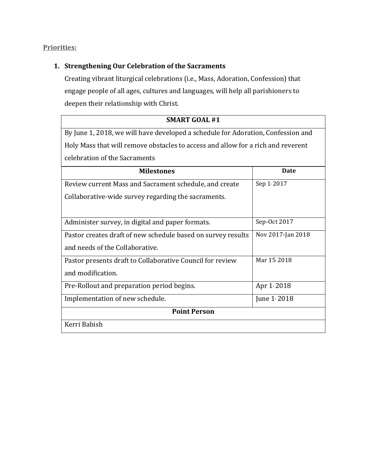#### **Priorities:**

#### 1. **Strengthening Our Celebration of the Sacraments**

Creating vibrant liturgical celebrations (i.e., Mass, Adoration, Confession) that engage people of all ages, cultures and languages, will help all parishioners to deepen their relationship with Christ.

# **SMART GOAL #1** By June 1, 2018, we will have developed a schedule for Adoration, Confession and Holy Mass that will remove obstacles to access and allow for a rich and reverent celebration of the Sacraments

| <b>Milestones</b>                                            | Date              |  |
|--------------------------------------------------------------|-------------------|--|
| Review current Mass and Sacrament schedule, and create       | Sep 1, 2017       |  |
| Collaborative-wide survey regarding the sacraments.          |                   |  |
|                                                              |                   |  |
| Administer survey, in digital and paper formats.             | Sep-Oct 2017      |  |
| Pastor creates draft of new schedule based on survey results | Nov 2017-Jan 2018 |  |
| and needs of the Collaborative.                              |                   |  |
| Pastor presents draft to Collaborative Council for review    | Mar 15/2018       |  |
| and modification.                                            |                   |  |
| Pre-Rollout and preparation period begins.                   | Apr 1/2018        |  |
| Implementation of new schedule.                              | June $1/2018$     |  |
| <b>Point Person</b>                                          |                   |  |
| Kerri Babish                                                 |                   |  |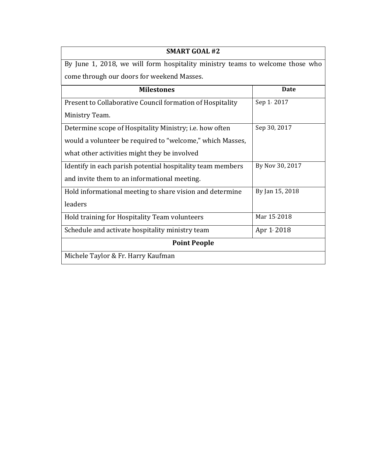| <b>SMART GOAL #2</b>                                                          |                 |  |
|-------------------------------------------------------------------------------|-----------------|--|
| By June 1, 2018, we will form hospitality ministry teams to welcome those who |                 |  |
| come through our doors for weekend Masses.                                    |                 |  |
| <b>Milestones</b>                                                             | Date            |  |
| Present to Collaborative Council formation of Hospitality                     | Sep 1, 2017     |  |
| Ministry Team.                                                                |                 |  |
| Determine scope of Hospitality Ministry; i.e. how often                       | Sep 30, 2017    |  |
| would a volunteer be required to "welcome," which Masses,                     |                 |  |
| what other activities might they be involved                                  |                 |  |
| Identify in each parish potential hospitality team members                    | By Nov 30, 2017 |  |
| and invite them to an informational meeting.                                  |                 |  |
| Hold informational meeting to share vision and determine                      | By Jan 15, 2018 |  |
| leaders                                                                       |                 |  |
| Hold training for Hospitality Team volunteers                                 | Mar 15, 2018    |  |
| Schedule and activate hospitality ministry team                               | Apr $1/2018$    |  |
| <b>Point People</b>                                                           |                 |  |
| Michele Taylor & Fr. Harry Kaufman                                            |                 |  |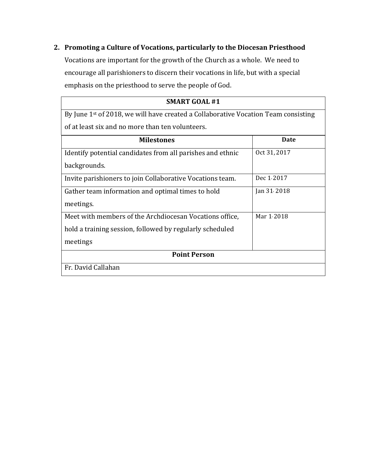#### 2. Promoting a Culture of Vocations, particularly to the Diocesan Priesthood

Vocations are important for the growth of the Church as a whole. We need to encourage all parishioners to discern their vocations in life, but with a special emphasis on the priesthood to serve the people of God.

| <b>SMART GOAL #1</b>                                                               |              |  |
|------------------------------------------------------------------------------------|--------------|--|
| By June 1st of 2018, we will have created a Collaborative Vocation Team consisting |              |  |
| of at least six and no more than ten volunteers.                                   |              |  |
| <b>Milestones</b>                                                                  | <b>Date</b>  |  |
| Identify potential candidates from all parishes and ethnic                         | Oct 31, 2017 |  |
| backgrounds.                                                                       |              |  |
| Invite parishioners to join Collaborative Vocations team.                          | Dec $1.2017$ |  |
| Gather team information and optimal times to hold                                  | Jan 31, 2018 |  |
| meetings.                                                                          |              |  |
| Meet with members of the Archdiocesan Vocations office,                            | Mar 1/2018   |  |
| hold a training session, followed by regularly scheduled                           |              |  |
| meetings                                                                           |              |  |
| <b>Point Person</b>                                                                |              |  |
| Fr. David Callahan                                                                 |              |  |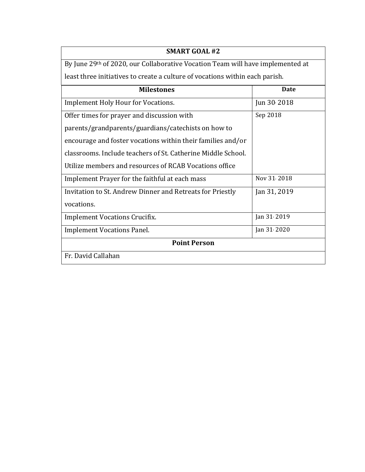| <b>SMART GOAL #2</b>                                                           |              |  |
|--------------------------------------------------------------------------------|--------------|--|
| By June 29th of 2020, our Collaborative Vocation Team will have implemented at |              |  |
| least three initiatives to create a culture of vocations within each parish.   |              |  |
| <b>Milestones</b>                                                              | Date         |  |
| <b>Implement Holy Hour for Vocations.</b>                                      | Jun 30 2018  |  |
| Offer times for prayer and discussion with                                     | Sep 2018     |  |
| parents/grandparents/guardians/catechists on how to                            |              |  |
| encourage and foster vocations within their families and/or                    |              |  |
| classrooms. Include teachers of St. Catherine Middle School.                   |              |  |
| Utilize members and resources of RCAB Vocations office                         |              |  |
| Implement Prayer for the faithful at each mass                                 | Nov 31/2018  |  |
| Invitation to St. Andrew Dinner and Retreats for Priestly                      | Jan 31, 2019 |  |
| vocations.                                                                     |              |  |
| <b>Implement Vocations Crucifix.</b>                                           | Jan 31, 2019 |  |
| <b>Implement Vocations Panel.</b>                                              | Jan 31, 2020 |  |
| <b>Point Person</b>                                                            |              |  |
| Fr. David Callahan                                                             |              |  |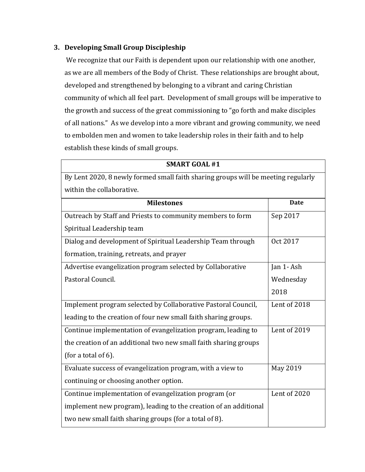#### **3. Developing Small Group Discipleship**

We recognize that our Faith is dependent upon our relationship with one another, as we are all members of the Body of Christ. These relationships are brought about, developed and strengthened by belonging to a vibrant and caring Christian community of which all feel part. Development of small groups will be imperative to the growth and success of the great commissioning to "go forth and make disciples of all nations." As we develop into a more vibrant and growing community, we need to embolden men and women to take leadership roles in their faith and to help establish these kinds of small groups.

| <b>SMART GOAL #1</b>                                                              |              |  |
|-----------------------------------------------------------------------------------|--------------|--|
| By Lent 2020, 8 newly formed small faith sharing groups will be meeting regularly |              |  |
| within the collaborative.                                                         |              |  |
| <b>Milestones</b>                                                                 | <b>Date</b>  |  |
| Outreach by Staff and Priests to community members to form                        | Sep 2017     |  |
| Spiritual Leadership team                                                         |              |  |
| Dialog and development of Spiritual Leadership Team through                       | Oct 2017     |  |
| formation, training, retreats, and prayer                                         |              |  |
| Advertise evangelization program selected by Collaborative                        | Jan 1-Ash    |  |
| Pastoral Council.                                                                 | Wednesday    |  |
|                                                                                   | 2018         |  |
| Implement program selected by Collaborative Pastoral Council,                     | Lent of 2018 |  |
| leading to the creation of four new small faith sharing groups.                   |              |  |
| Continue implementation of evangelization program, leading to                     | Lent of 2019 |  |
| the creation of an additional two new small faith sharing groups                  |              |  |
| (for a total of 6).                                                               |              |  |
| Evaluate success of evangelization program, with a view to                        | May 2019     |  |
| continuing or choosing another option.                                            |              |  |
| Continue implementation of evangelization program (or                             | Lent of 2020 |  |
| implement new program), leading to the creation of an additional                  |              |  |
| two new small faith sharing groups (for a total of 8).                            |              |  |